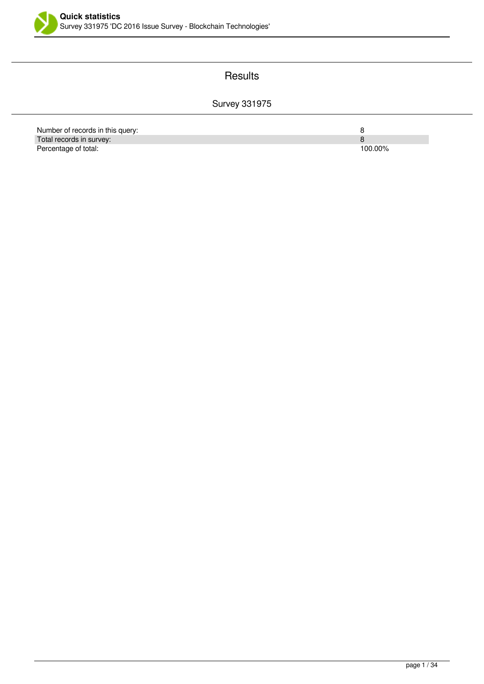

### **Results**

## Survey 331975

| Number of records in this query: |         |
|----------------------------------|---------|
| Total records in survey:         |         |
| Percentage of total:             | 100.00% |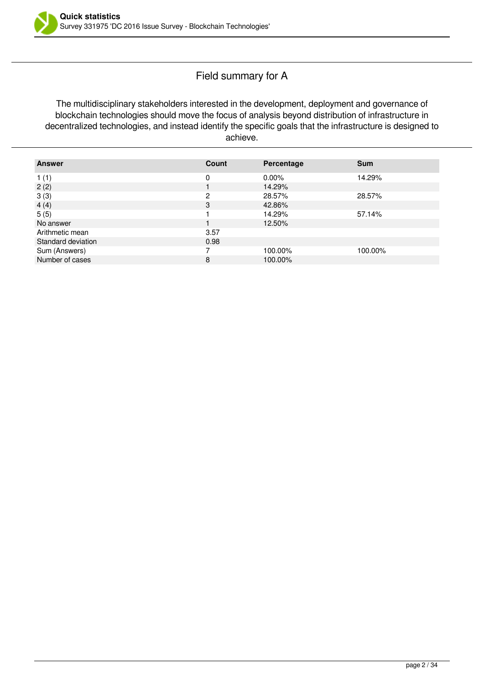### Field summary for A

The multidisciplinary stakeholders interested in the development, deployment and governance of blockchain technologies should move the focus of analysis beyond distribution of infrastructure in decentralized technologies, and instead identify the specific goals that the infrastructure is designed to achieve.

| <b>Answer</b>      | Count | Percentage | <b>Sum</b> |
|--------------------|-------|------------|------------|
| 1(1)               | 0     | $0.00\%$   | 14.29%     |
| 2(2)               |       | 14.29%     |            |
| 3(3)               | າ     | 28.57%     | 28.57%     |
| 4(4)               | 3     | 42.86%     |            |
| 5(5)               |       | 14.29%     | 57.14%     |
| No answer          |       | 12.50%     |            |
| Arithmetic mean    | 3.57  |            |            |
| Standard deviation | 0.98  |            |            |
| Sum (Answers)      |       | 100.00%    | 100.00%    |
| Number of cases    | 8     | 100.00%    |            |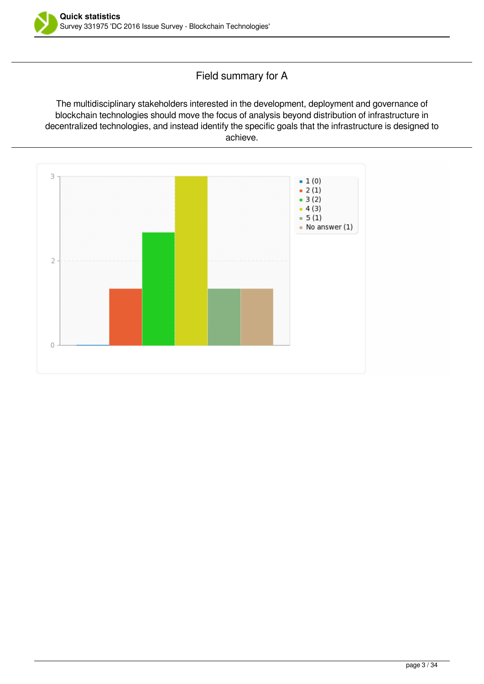

### Field summary for A

The multidisciplinary stakeholders interested in the development, deployment and governance of blockchain technologies should move the focus of analysis beyond distribution of infrastructure in decentralized technologies, and instead identify the specific goals that the infrastructure is designed to achieve.

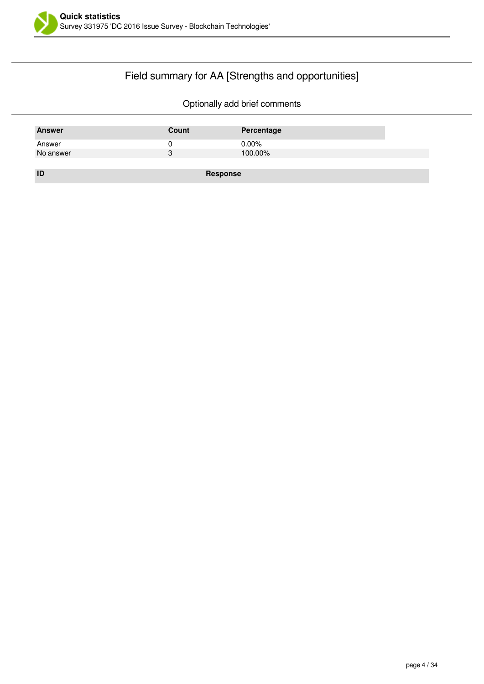

## Field summary for AA [Strengths and opportunities]

| <b>Answer</b> | Count    | Percentage |
|---------------|----------|------------|
| Answer        |          | $0.00\%$   |
| No answer     | 3        | 100.00%    |
|               |          |            |
| ID            | Response |            |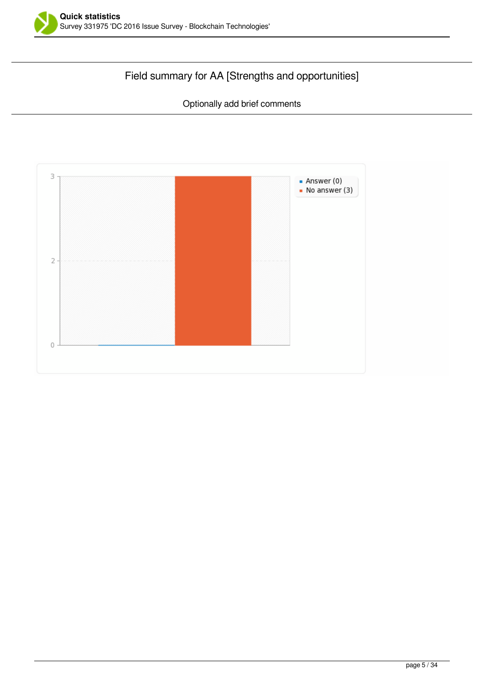

## Field summary for AA [Strengths and opportunities]

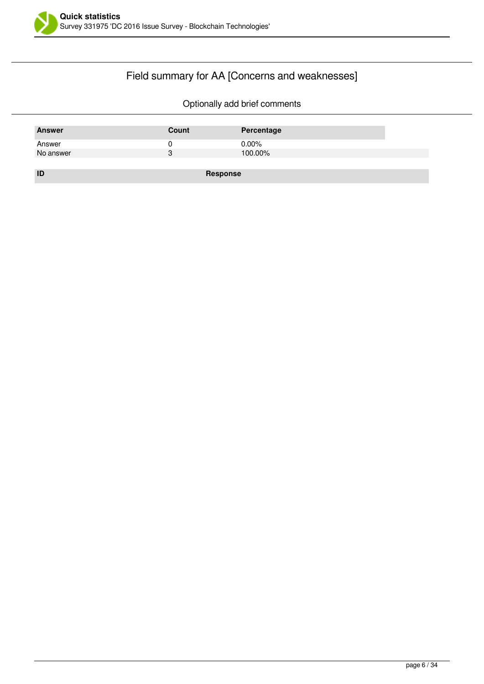

## Field summary for AA [Concerns and weaknesses]

| <b>Answer</b> | Count    | Percentage |
|---------------|----------|------------|
| Answer        | U        | $0.00\%$   |
| No answer     | 3        | 100.00%    |
|               |          |            |
| ID            | Response |            |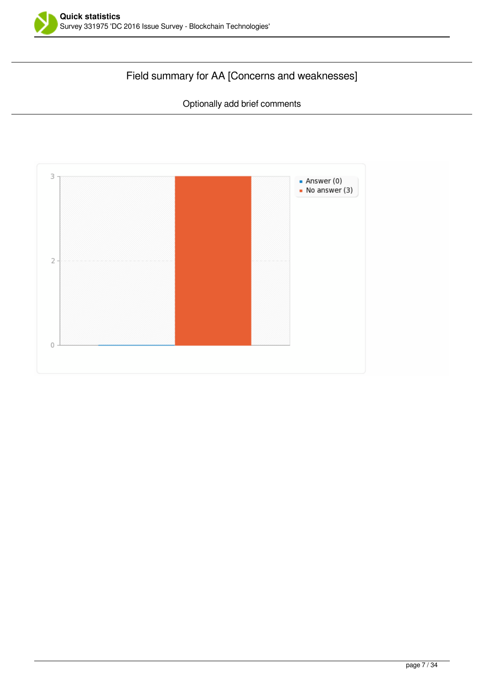

# Field summary for AA [Concerns and weaknesses]

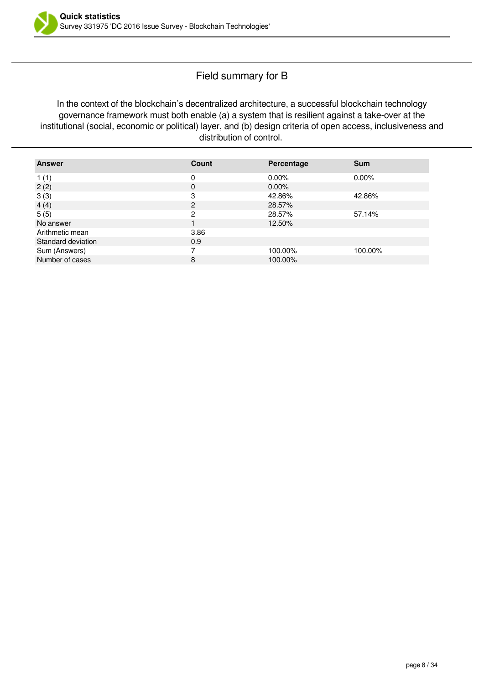### Field summary for B

In the context of the blockchain's decentralized architecture, a successful blockchain technology governance framework must both enable (a) a system that is resilient against a take-over at the institutional (social, economic or political) layer, and (b) design criteria of open access, inclusiveness and distribution of control.

| <b>Answer</b>      | Count | Percentage | <b>Sum</b> |
|--------------------|-------|------------|------------|
| 1(1)               | 0     | $0.00\%$   | $0.00\%$   |
| 2(2)               | 0     | $0.00\%$   |            |
| 3(3)               | 3     | 42.86%     | 42.86%     |
| 4(4)               | 2     | 28.57%     |            |
| 5(5)               | 2     | 28.57%     | 57.14%     |
| No answer          |       | 12.50%     |            |
| Arithmetic mean    | 3.86  |            |            |
| Standard deviation | 0.9   |            |            |
| Sum (Answers)      |       | 100.00%    | 100.00%    |
| Number of cases    | 8     | 100.00%    |            |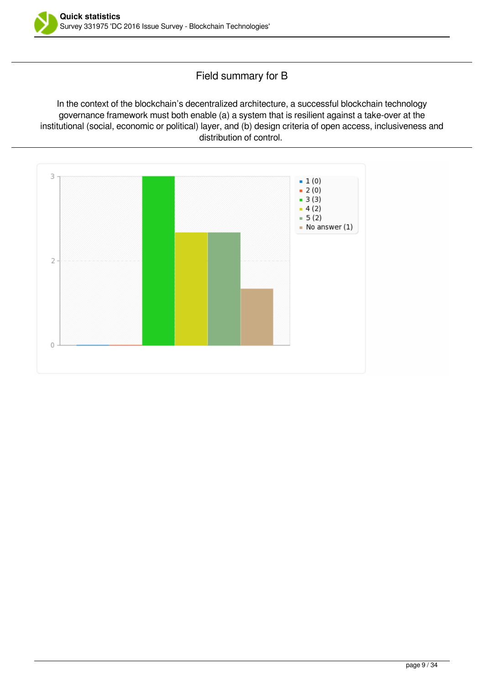

### Field summary for B

In the context of the blockchain's decentralized architecture, a successful blockchain technology governance framework must both enable (a) a system that is resilient against a take-over at the institutional (social, economic or political) layer, and (b) design criteria of open access, inclusiveness and distribution of control.

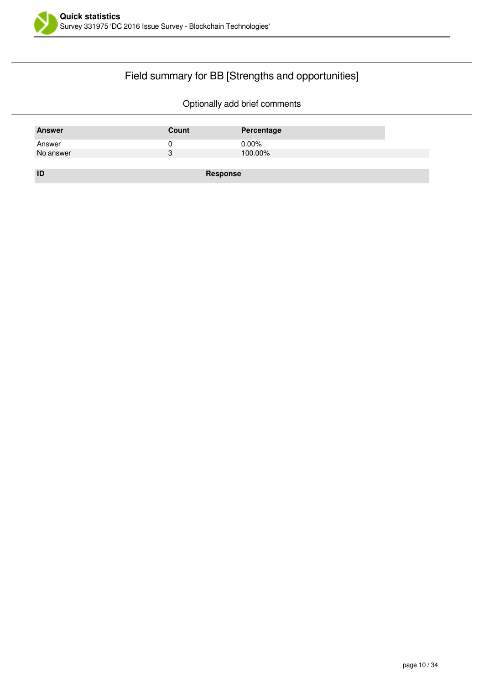

## Field summary for BB [Strengths and opportunities]

| <b>Answer</b> | Count    | Percentage |
|---------------|----------|------------|
| Answer        |          | $0.00\%$   |
| No answer     | 3        | 100.00%    |
|               |          |            |
| ID            | Response |            |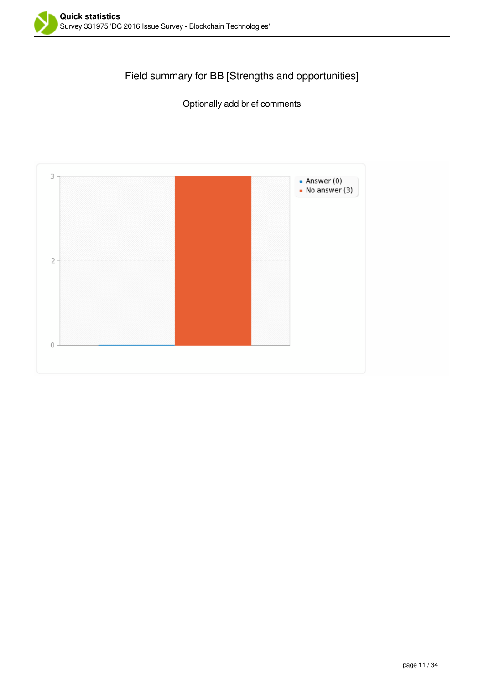

## Field summary for BB [Strengths and opportunities]

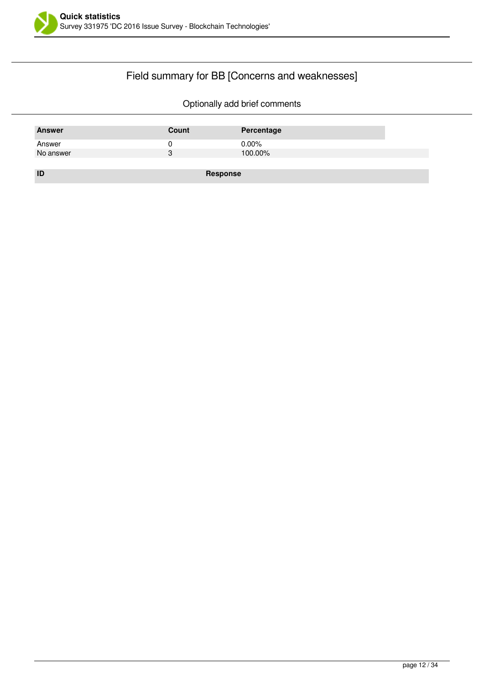

## Field summary for BB [Concerns and weaknesses]

| <b>Answer</b> | Count    | Percentage |
|---------------|----------|------------|
| Answer        | U        | $0.00\%$   |
| No answer     | 3        | 100.00%    |
|               |          |            |
| ID            | Response |            |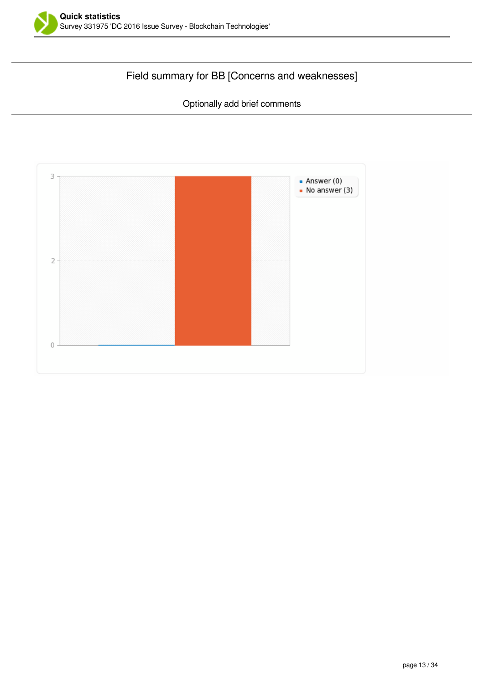

## Field summary for BB [Concerns and weaknesses]

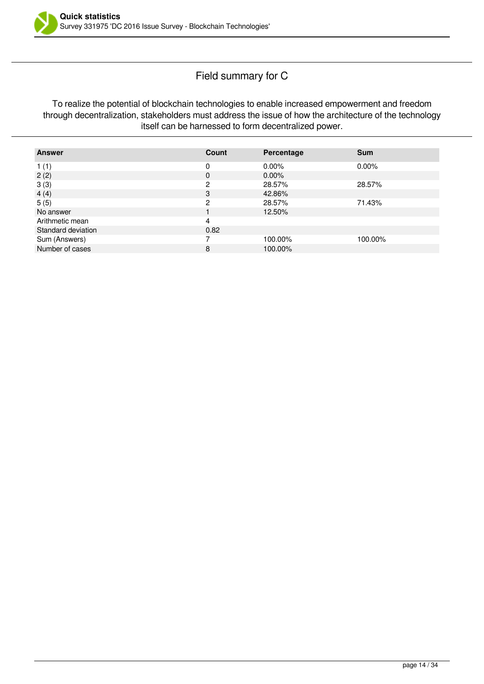### Field summary for C

To realize the potential of blockchain technologies to enable increased empowerment and freedom through decentralization, stakeholders must address the issue of how the architecture of the technology itself can be harnessed to form decentralized power.

| <b>Answer</b>      | Count    | Percentage | <b>Sum</b> |
|--------------------|----------|------------|------------|
| 1(1)               | 0        | $0.00\%$   | $0.00\%$   |
| 2(2)               | $\Omega$ | $0.00\%$   |            |
| 3(3)               | 2        | 28.57%     | 28.57%     |
| 4(4)               | 3        | 42.86%     |            |
| 5(5)               | ົ        | 28.57%     | 71.43%     |
| No answer          |          | 12.50%     |            |
| Arithmetic mean    | 4        |            |            |
| Standard deviation | 0.82     |            |            |
| Sum (Answers)      |          | 100.00%    | 100.00%    |
| Number of cases    | 8        | 100.00%    |            |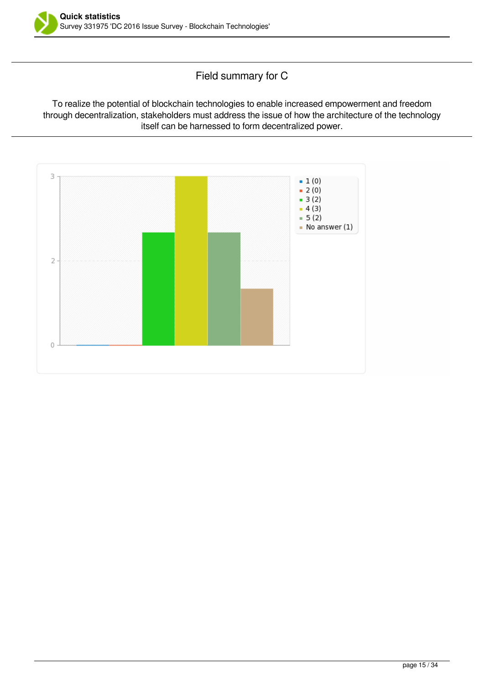

Field summary for C

To realize the potential of blockchain technologies to enable increased empowerment and freedom through decentralization, stakeholders must address the issue of how the architecture of the technology itself can be harnessed to form decentralized power.

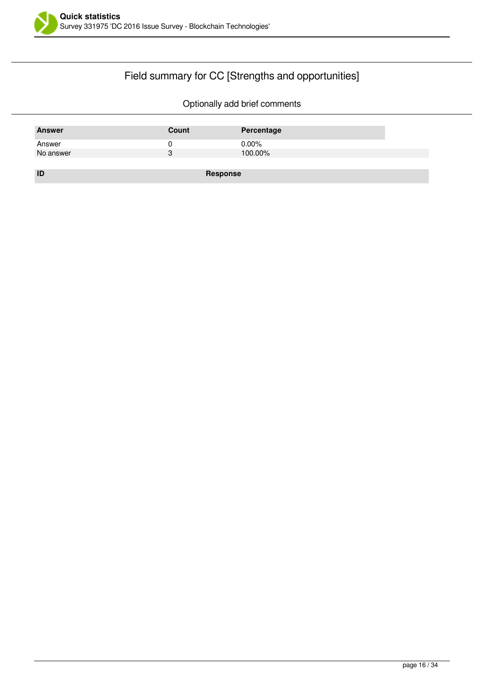

## Field summary for CC [Strengths and opportunities]

| <b>Answer</b> | Count    | Percentage |
|---------------|----------|------------|
| Answer        | u        | $0.00\%$   |
| No answer     | 3        | 100.00%    |
|               |          |            |
| ID            | Response |            |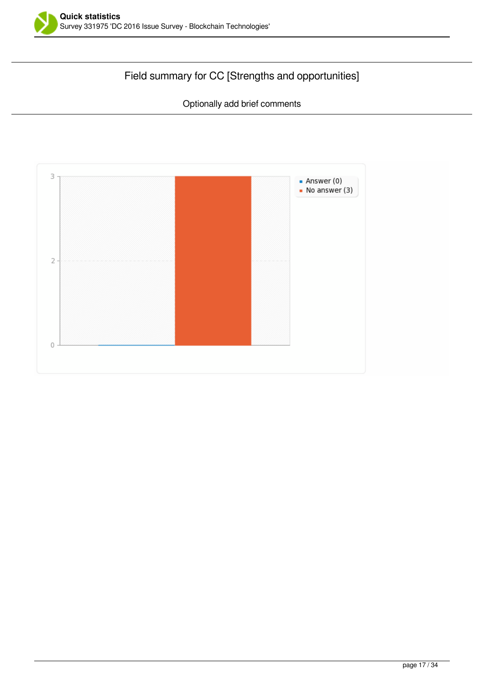

## Field summary for CC [Strengths and opportunities]

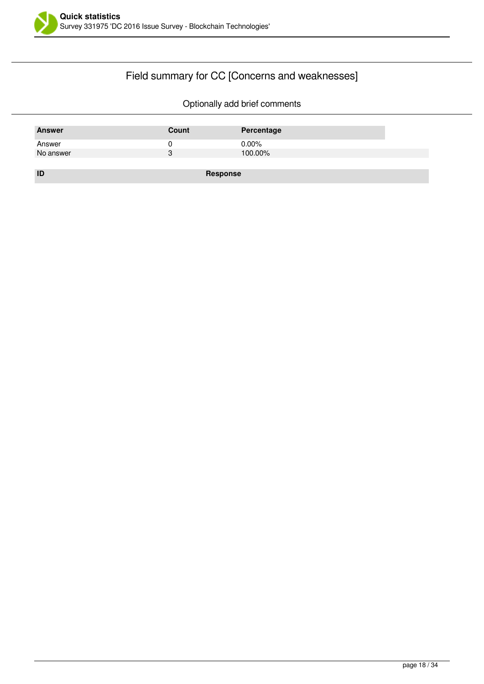

## Field summary for CC [Concerns and weaknesses]

| <b>Answer</b> | Count    | Percentage |
|---------------|----------|------------|
| Answer        | U        | $0.00\%$   |
| No answer     | 3        | 100.00%    |
|               |          |            |
| ID            | Response |            |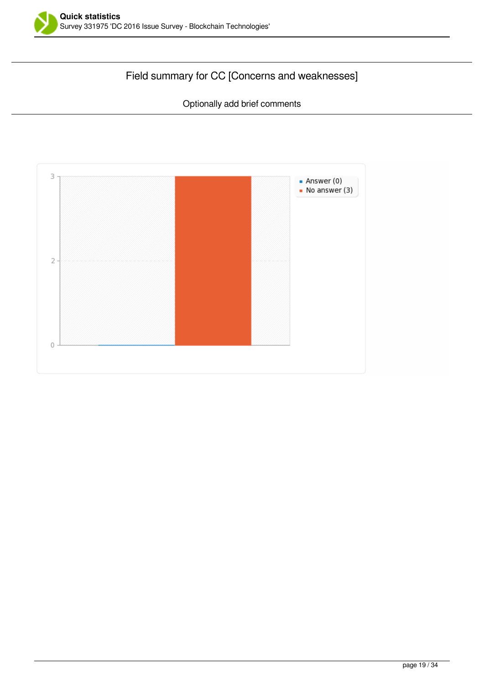

## Field summary for CC [Concerns and weaknesses]

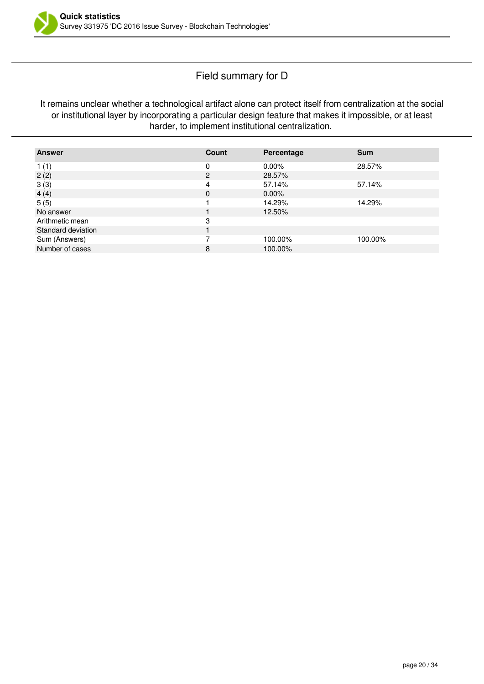### Field summary for D

It remains unclear whether a technological artifact alone can protect itself from centralization at the social or institutional layer by incorporating a particular design feature that makes it impossible, or at least harder, to implement institutional centralization.

| <b>Answer</b>      | Count          | Percentage | <b>Sum</b> |
|--------------------|----------------|------------|------------|
| 1(1)               | 0              | $0.00\%$   | 28.57%     |
| 2(2)               | $\overline{c}$ | 28.57%     |            |
| 3(3)               | 4              | 57.14%     | 57.14%     |
| 4(4)               | $\mathbf{0}$   | $0.00\%$   |            |
| 5(5)               |                | 14.29%     | 14.29%     |
| No answer          |                | 12.50%     |            |
| Arithmetic mean    | 3              |            |            |
| Standard deviation |                |            |            |
| Sum (Answers)      |                | 100.00%    | 100.00%    |
| Number of cases    | 8              | 100.00%    |            |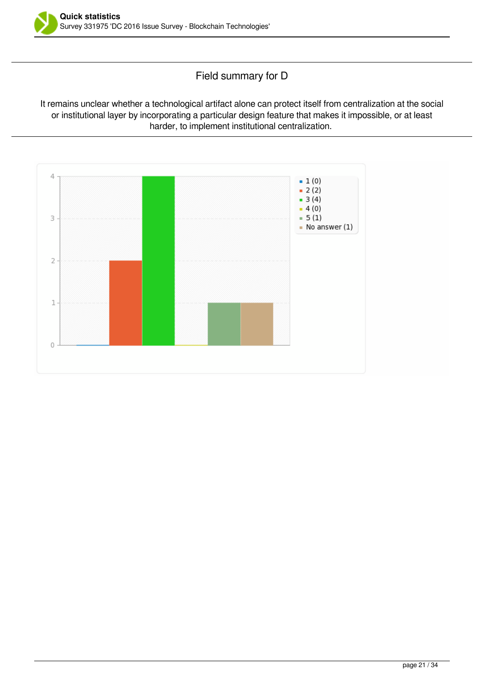

Field summary for D

It remains unclear whether a technological artifact alone can protect itself from centralization at the social or institutional layer by incorporating a particular design feature that makes it impossible, or at least harder, to implement institutional centralization.

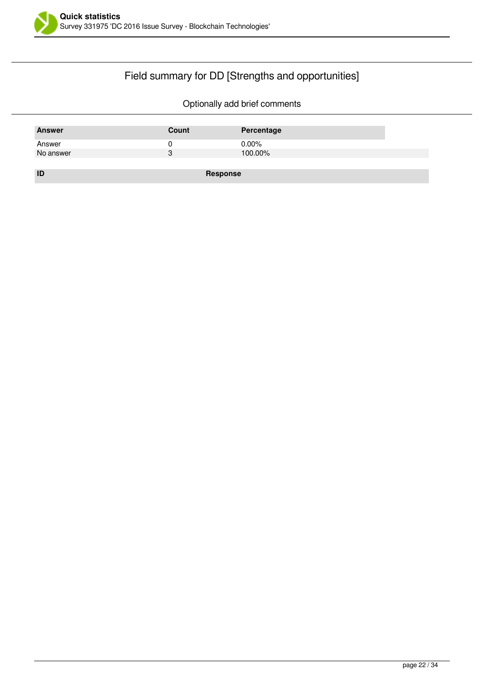

## Field summary for DD [Strengths and opportunities]

| <b>Answer</b> | Count    | Percentage |
|---------------|----------|------------|
| Answer        | U        | $0.00\%$   |
| No answer     | 3        | 100.00%    |
|               |          |            |
| ID            | Response |            |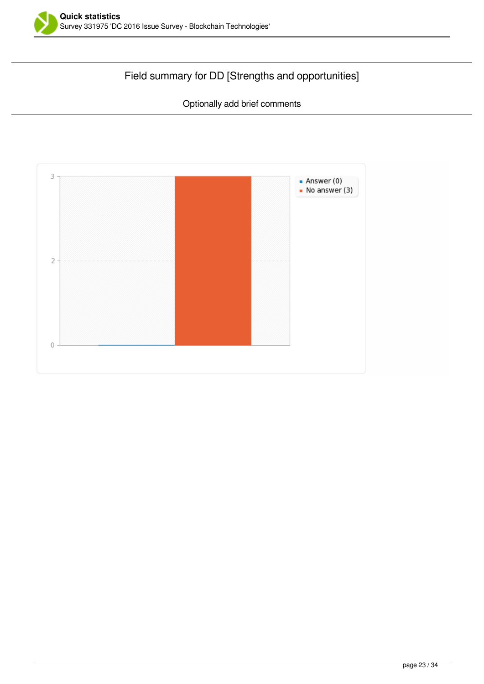

## Field summary for DD [Strengths and opportunities]

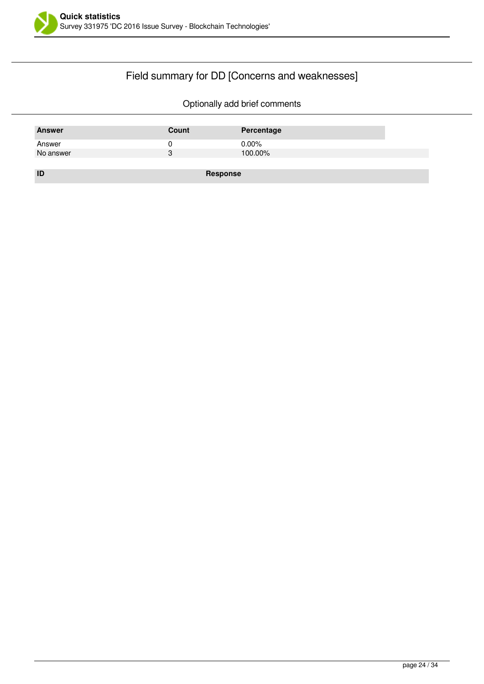

## Field summary for DD [Concerns and weaknesses]

| <b>Answer</b> | Count    | Percentage |
|---------------|----------|------------|
| Answer        |          | $0.00\%$   |
| No answer     | 3        | 100.00%    |
|               |          |            |
| ID            | Response |            |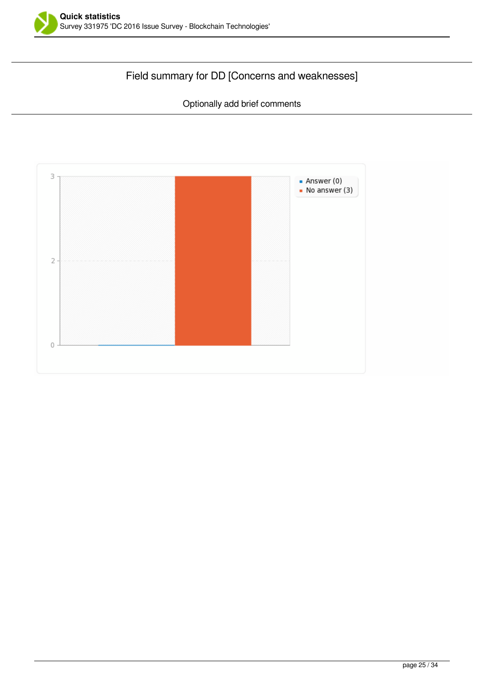

## Field summary for DD [Concerns and weaknesses]

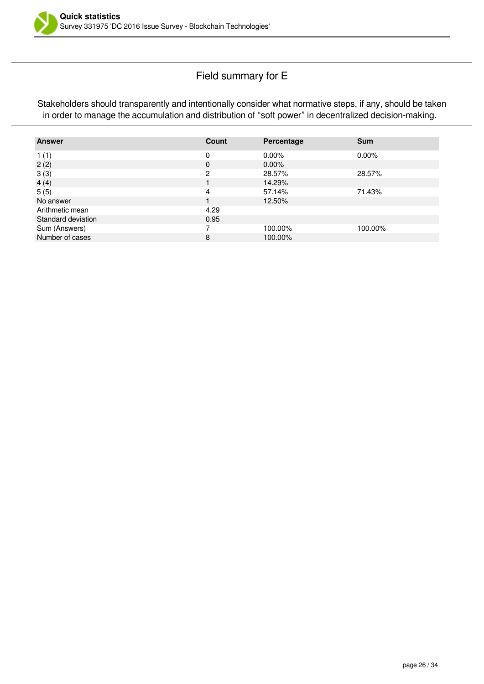

### Field summary for E

Stakeholders should transparently and intentionally consider what normative steps, if any, should be taken in order to manage the accumulation and distribution of "soft power" in decentralized decision-making.

| <b>Answer</b>      | Count    | Percentage | <b>Sum</b> |
|--------------------|----------|------------|------------|
| 1(1)               | 0        | $0.00\%$   | $0.00\%$   |
| 2(2)               | $\Omega$ | $0.00\%$   |            |
| 3(3)               | 2        | 28.57%     | 28.57%     |
| 4(4)               |          | 14.29%     |            |
| 5(5)               | 4        | 57.14%     | 71.43%     |
| No answer          |          | 12.50%     |            |
| Arithmetic mean    | 4.29     |            |            |
| Standard deviation | 0.95     |            |            |
| Sum (Answers)      |          | 100.00%    | 100.00%    |
| Number of cases    | 8        | 100.00%    |            |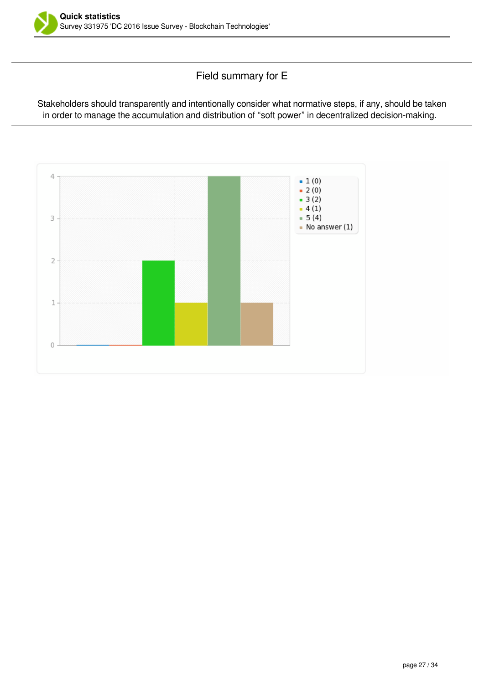

Field summary for E

Stakeholders should transparently and intentionally consider what normative steps, if any, should be taken in order to manage the accumulation and distribution of "soft power" in decentralized decision-making.

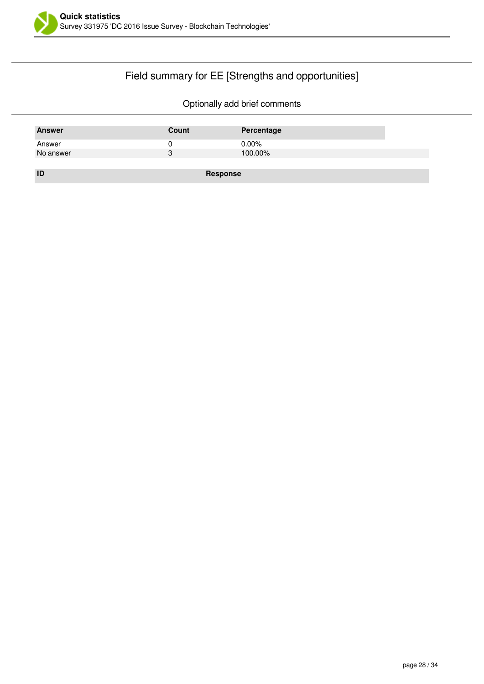

## Field summary for EE [Strengths and opportunities]

| <b>Answer</b> | Count    | Percentage |
|---------------|----------|------------|
| Answer        |          | $0.00\%$   |
| No answer     | 3        | 100.00%    |
|               |          |            |
| ID            | Response |            |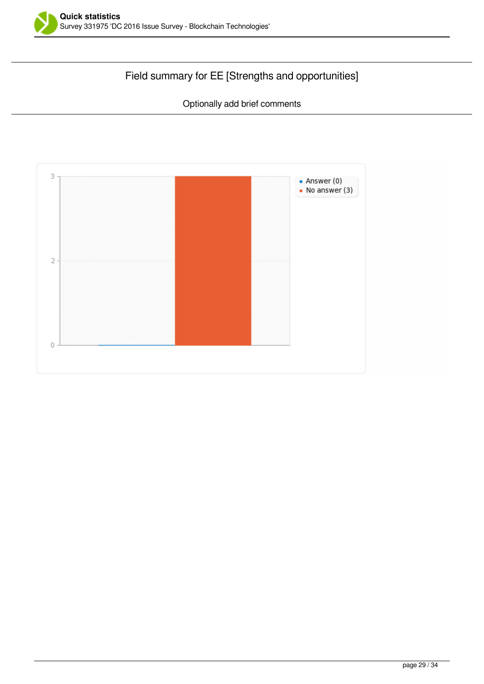

## Field summary for EE [Strengths and opportunities]

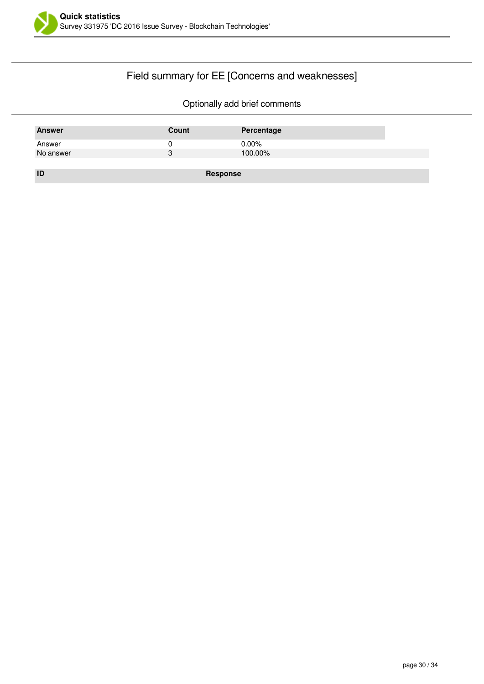

## Field summary for EE [Concerns and weaknesses]

| <b>Answer</b> | Count    | Percentage |
|---------------|----------|------------|
| Answer        | υ        | $0.00\%$   |
| No answer     | 3        | 100.00%    |
|               |          |            |
| ID            | Response |            |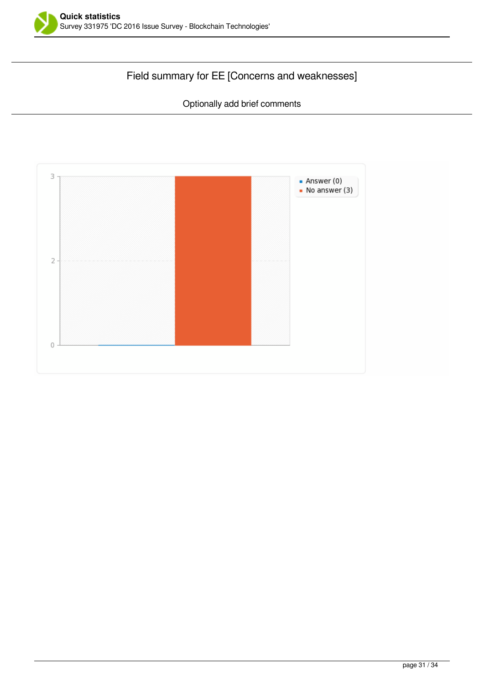

## Field summary for EE [Concerns and weaknesses]

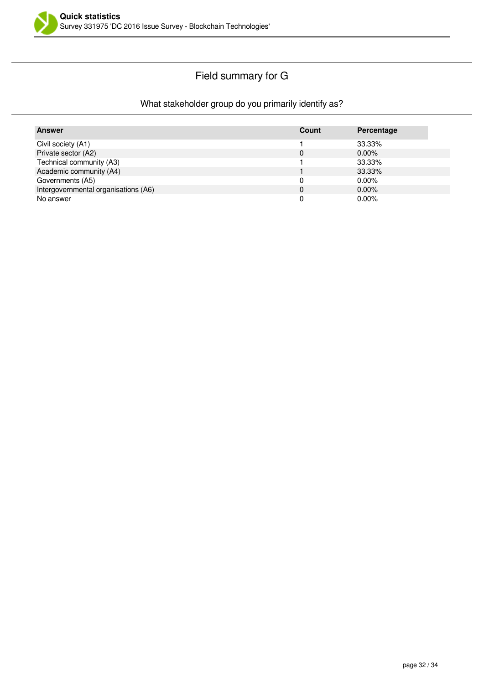

## Field summary for G

### What stakeholder group do you primarily identify as?

| Answer                               | Count | Percentage |
|--------------------------------------|-------|------------|
| Civil society (A1)                   |       | 33.33%     |
| Private sector (A2)                  | 0     | $0.00\%$   |
| Technical community (A3)             |       | 33.33%     |
| Academic community (A4)              |       | 33.33%     |
| Governments (A5)                     |       | $0.00\%$   |
| Intergovernmental organisations (A6) | 0     | $0.00\%$   |
| No answer                            |       | $0.00\%$   |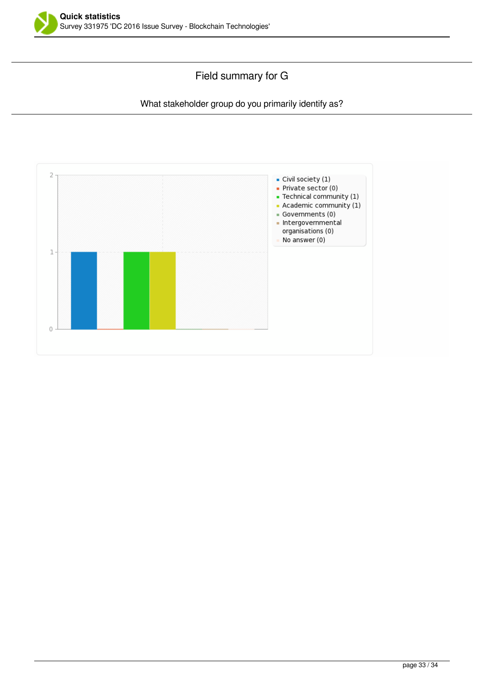

### Field summary for G

#### What stakeholder group do you primarily identify as?